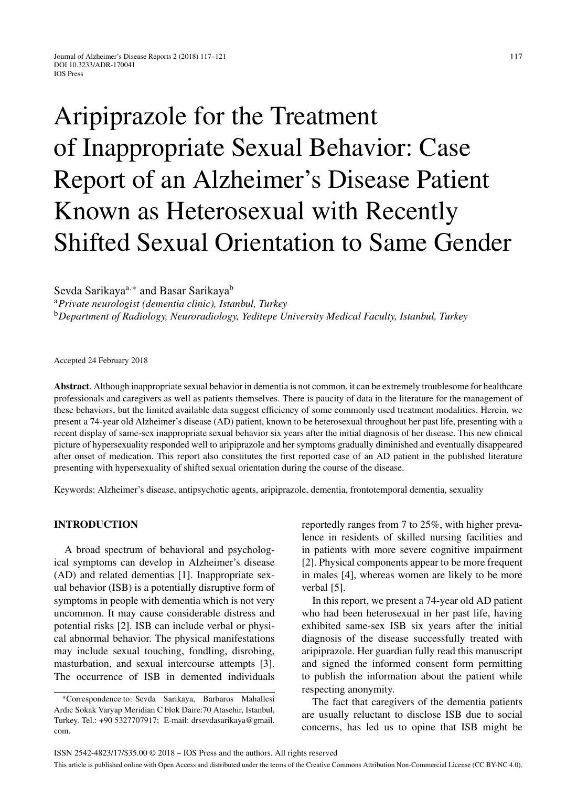# Aripiprazole for the Treatment of Inappropriate Sexual Behavior: Case Report of an Alzheimer's Disease Patient Known as Heterosexual with Recently Shifted Sexual Orientation to Same Gender

Sevda Sarikaya<sup>a,∗</sup> and Basar Sarikaya<sup>b</sup>

<sup>a</sup>*Private neurologist (dementia clinic), Istanbul, Turkey* <sup>b</sup>*Department of Radiology, Neuroradiology, Yeditepe University Medical Faculty, Istanbul, Turkey*

Accepted 24 February 2018

**Abstract**. Although inappropriate sexual behavior in dementia is not common, it can be extremely troublesome for healthcare professionals and caregivers as well as patients themselves. There is paucity of data in the literature for the management of these behaviors, but the limited available data suggest efficiency of some commonly used treatment modalities. Herein, we present a 74-year old Alzheimer's disease (AD) patient, known to be heterosexual throughout her past life, presenting with a recent display of same-sex inappropriate sexual behavior six years after the initial diagnosis of her disease. This new clinical picture of hypersexuality responded well to aripiprazole and her symptoms gradually diminished and eventually disappeared after onset of medication. This report also constitutes the first reported case of an AD patient in the published literature presenting with hypersexuality of shifted sexual orientation during the course of the disease.

Keywords: Alzheimer's disease, antipsychotic agents, aripiprazole, dementia, frontotemporal dementia, sexuality

# **INTRODUCTION**

A broad spectrum of behavioral and psychological symptoms can develop in Alzheimer's disease (AD) and related dementias [1]. Inappropriate sexual behavior (ISB) is a potentially disruptive form of symptoms in people with dementia which is not very uncommon. It may cause considerable distress and potential risks [2]. ISB can include verbal or physical abnormal behavior. The physical manifestations may include sexual touching, fondling, disrobing, masturbation, and sexual intercourse attempts [3]. The occurrence of ISB in demented individuals

reportedly ranges from 7 to 25%, with higher prevalence in residents of skilled nursing facilities and in patients with more severe cognitive impairment [2]. Physical components appear to be more frequent in males [4], whereas women are likely to be more verbal [5].

In this report, we present a 74-year old AD patient who had been heterosexual in her past life, having exhibited same-sex ISB six years after the initial diagnosis of the disease successfully treated with aripiprazole. Her guardian fully read this manuscript and signed the informed consent form permitting to publish the information about the patient while respecting anonymity.

The fact that caregivers of the dementia patients are usually reluctant to disclose ISB due to social concerns, has led us to opine that ISB might be

<sup>∗</sup>Correspondence to: Sevda Sarikaya, Barbaros Mahallesi Ardic Sokak Varyap Meridian C blok Daire:70 Atasehir, Istanbul, Turkey. Tel.: +90 5327707917; E-mail: [drsevdasarikaya@gmail.](mailto:drsevdasarikaya@gmail.{penalty -@M }com) com.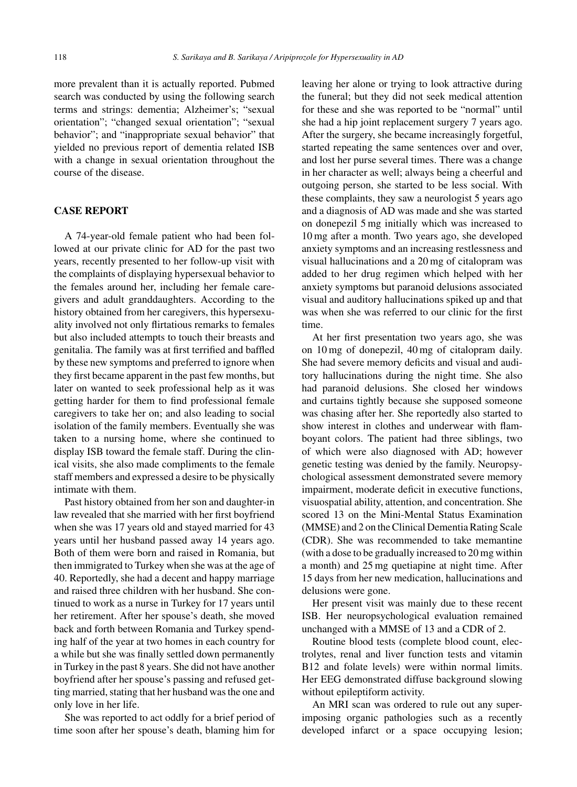more prevalent than it is actually reported. Pubmed search was conducted by using the following search terms and strings: dementia; Alzheimer's; "sexual orientation"; "changed sexual orientation"; "sexual behavior"; and "inappropriate sexual behavior" that yielded no previous report of dementia related ISB with a change in sexual orientation throughout the course of the disease.

#### **CASE REPORT**

A 74-year-old female patient who had been followed at our private clinic for AD for the past two years, recently presented to her follow-up visit with the complaints of displaying hypersexual behavior to the females around her, including her female caregivers and adult granddaughters. According to the history obtained from her caregivers, this hypersexuality involved not only flirtatious remarks to females but also included attempts to touch their breasts and genitalia. The family was at first terrified and baffled by these new symptoms and preferred to ignore when they first became apparent in the past few months, but later on wanted to seek professional help as it was getting harder for them to find professional female caregivers to take her on; and also leading to social isolation of the family members. Eventually she was taken to a nursing home, where she continued to display ISB toward the female staff. During the clinical visits, she also made compliments to the female staff members and expressed a desire to be physically intimate with them.

Past history obtained from her son and daughter-in law revealed that she married with her first boyfriend when she was 17 years old and stayed married for 43 years until her husband passed away 14 years ago. Both of them were born and raised in Romania, but then immigrated to Turkey when she was at the age of 40. Reportedly, she had a decent and happy marriage and raised three children with her husband. She continued to work as a nurse in Turkey for 17 years until her retirement. After her spouse's death, she moved back and forth between Romania and Turkey spending half of the year at two homes in each country for a while but she was finally settled down permanently in Turkey in the past 8 years. She did not have another boyfriend after her spouse's passing and refused getting married, stating that her husband was the one and only love in her life.

She was reported to act oddly for a brief period of time soon after her spouse's death, blaming him for

leaving her alone or trying to look attractive during the funeral; but they did not seek medical attention for these and she was reported to be "normal" until she had a hip joint replacement surgery 7 years ago. After the surgery, she became increasingly forgetful, started repeating the same sentences over and over, and lost her purse several times. There was a change in her character as well; always being a cheerful and outgoing person, she started to be less social. With these complaints, they saw a neurologist 5 years ago and a diagnosis of AD was made and she was started on donepezil 5 mg initially which was increased to 10 mg after a month. Two years ago, she developed anxiety symptoms and an increasing restlessness and visual hallucinations and a 20 mg of citalopram was added to her drug regimen which helped with her anxiety symptoms but paranoid delusions associated visual and auditory hallucinations spiked up and that was when she was referred to our clinic for the first time.

At her first presentation two years ago, she was on 10 mg of donepezil, 40 mg of citalopram daily. She had severe memory deficits and visual and auditory hallucinations during the night time. She also had paranoid delusions. She closed her windows and curtains tightly because she supposed someone was chasing after her. She reportedly also started to show interest in clothes and underwear with flamboyant colors. The patient had three siblings, two of which were also diagnosed with AD; however genetic testing was denied by the family. Neuropsychological assessment demonstrated severe memory impairment, moderate deficit in executive functions, visuospatial ability, attention, and concentration. She scored 13 on the Mini-Mental Status Examination (MMSE) and 2 on the Clinical Dementia Rating Scale (CDR). She was recommended to take memantine (with a dose to be gradually increased to 20 mg within a month) and 25 mg quetiapine at night time. After 15 days from her new medication, hallucinations and delusions were gone.

Her present visit was mainly due to these recent ISB. Her neuropsychological evaluation remained unchanged with a MMSE of 13 and a CDR of 2.

Routine blood tests (complete blood count, electrolytes, renal and liver function tests and vitamin B12 and folate levels) were within normal limits. Her EEG demonstrated diffuse background slowing without epileptiform activity.

An MRI scan was ordered to rule out any superimposing organic pathologies such as a recently developed infarct or a space occupying lesion;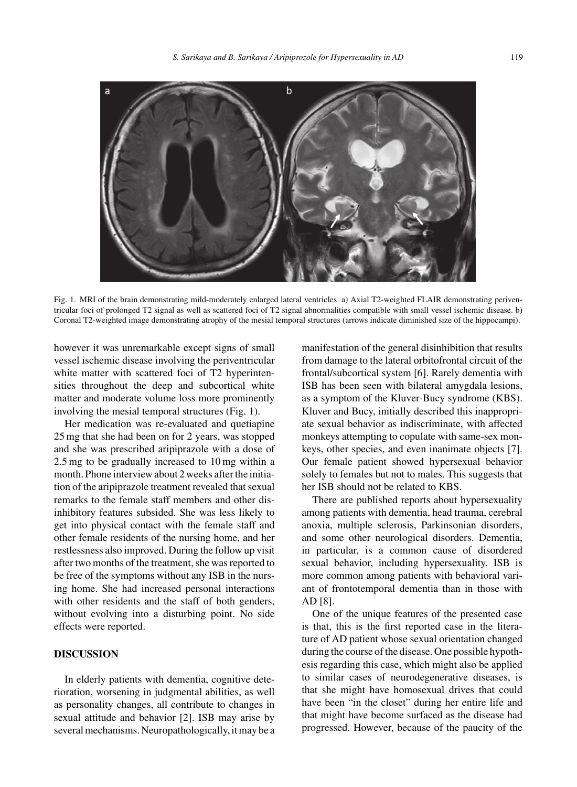

Fig. 1. MRI of the brain demonstrating mild-moderately enlarged lateral ventricles. a) Axial T2-weighted FLAIR demonstrating periventricular foci of prolonged T2 signal as well as scattered foci of T2 signal abnormalities compatible with small vessel ischemic disease. b) Coronal T2-weighted image demonstrating atrophy of the mesial temporal structures (arrows indicate diminished size of the hippocampi).

however it was unremarkable except signs of small vessel ischemic disease involving the periventricular white matter with scattered foci of T2 hyperintensities throughout the deep and subcortical white matter and moderate volume loss more prominently involving the mesial temporal structures (Fig. 1).

Her medication was re-evaluated and quetiapine 25 mg that she had been on for 2 years, was stopped and she was prescribed aripiprazole with a dose of 2.5 mg to be gradually increased to 10 mg within a month. Phone interview about 2 weeks after the initiation of the aripiprazole treatment revealed that sexual remarks to the female staff members and other disinhibitory features subsided. She was less likely to get into physical contact with the female staff and other female residents of the nursing home, and her restlessness also improved. During the follow up visit after two months of the treatment, she was reported to be free of the symptoms without any ISB in the nursing home. She had increased personal interactions with other residents and the staff of both genders, without evolving into a disturbing point. No side effects were reported.

### **DISCUSSION**

In elderly patients with dementia, cognitive deterioration, worsening in judgmental abilities, as well as personality changes, all contribute to changes in sexual attitude and behavior [2]. ISB may arise by several mechanisms. Neuropathologically, it may be a manifestation of the general disinhibition that results from damage to the lateral orbitofrontal circuit of the frontal/subcortical system [6]. Rarely dementia with ISB has been seen with bilateral amygdala lesions, as a symptom of the Kluver-Bucy syndrome (KBS). Kluver and Bucy, initially described this inappropriate sexual behavior as indiscriminate, with affected monkeys attempting to copulate with same-sex monkeys, other species, and even inanimate objects [7]. Our female patient showed hypersexual behavior solely to females but not to males. This suggests that her ISB should not be related to KBS.

There are published reports about hypersexuality among patients with dementia, head trauma, cerebral anoxia, multiple sclerosis, Parkinsonian disorders, and some other neurological disorders. Dementia, in particular, is a common cause of disordered sexual behavior, including hypersexuality. ISB is more common among patients with behavioral variant of frontotemporal dementia than in those with AD [8].

One of the unique features of the presented case is that, this is the first reported case in the literature of AD patient whose sexual orientation changed during the course of the disease. One possible hypothesis regarding this case, which might also be applied to similar cases of neurodegenerative diseases, is that she might have homosexual drives that could have been "in the closet" during her entire life and that might have become surfaced as the disease had progressed. However, because of the paucity of the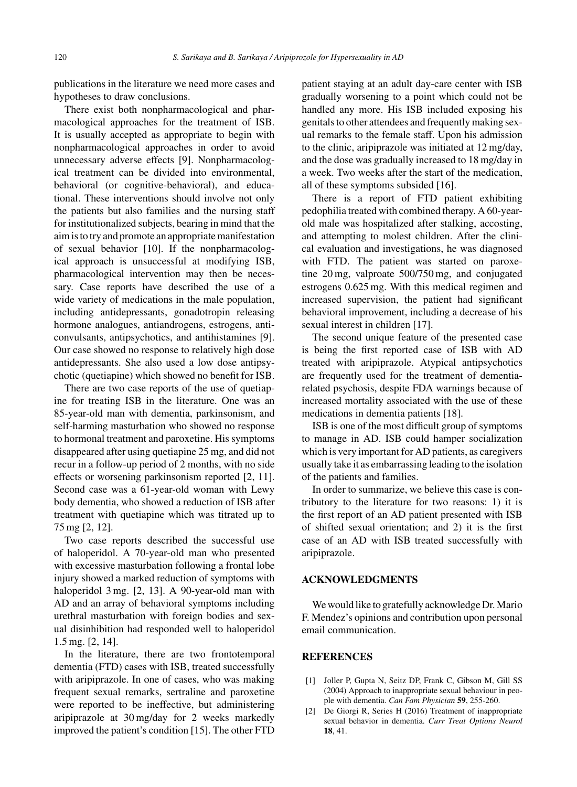publications in the literature we need more cases and hypotheses to draw conclusions.

There exist both nonpharmacological and pharmacological approaches for the treatment of ISB. It is usually accepted as appropriate to begin with nonpharmacological approaches in order to avoid unnecessary adverse effects [9]. Nonpharmacological treatment can be divided into environmental, behavioral (or cognitive-behavioral), and educational. These interventions should involve not only the patients but also families and the nursing staff for institutionalized subjects, bearing in mind that the aim is to try and promote an appropriate manifestation of sexual behavior [10]. If the nonpharmacological approach is unsuccessful at modifying ISB, pharmacological intervention may then be necessary. Case reports have described the use of a wide variety of medications in the male population, including antidepressants, gonadotropin releasing hormone analogues, antiandrogens, estrogens, anticonvulsants, antipsychotics, and antihistamines [9]. Our case showed no response to relatively high dose antidepressants. She also used a low dose antipsychotic (quetiapine) which showed no benefit for ISB.

There are two case reports of the use of quetiapine for treating ISB in the literature. One was an 85-year-old man with dementia, parkinsonism, and self-harming masturbation who showed no response to hormonal treatment and paroxetine. His symptoms disappeared after using quetiapine 25 mg, and did not recur in a follow-up period of 2 months, with no side effects or worsening parkinsonism reported [2, 11]. Second case was a 61-year-old woman with Lewy body dementia, who showed a reduction of ISB after treatment with quetiapine which was titrated up to 75 mg [2, 12].

Two case reports described the successful use of haloperidol. A 70-year-old man who presented with excessive masturbation following a frontal lobe injury showed a marked reduction of symptoms with haloperidol 3 mg. [2, 13]. A 90-year-old man with AD and an array of behavioral symptoms including urethral masturbation with foreign bodies and sexual disinhibition had responded well to haloperidol 1.5 mg. [2, 14].

In the literature, there are two frontotemporal dementia (FTD) cases with ISB, treated successfully with aripiprazole. In one of cases, who was making frequent sexual remarks, sertraline and paroxetine were reported to be ineffective, but administering aripiprazole at 30 mg/day for 2 weeks markedly improved the patient's condition [15]. The other FTD

patient staying at an adult day-care center with ISB gradually worsening to a point which could not be handled any more. His ISB included exposing his genitals to other attendees and frequently making sexual remarks to the female staff. Upon his admission to the clinic, aripiprazole was initiated at 12 mg/day, and the dose was gradually increased to 18 mg/day in a week. Two weeks after the start of the medication, all of these symptoms subsided [16].

There is a report of FTD patient exhibiting pedophilia treated with combined therapy. A 60-yearold male was hospitalized after stalking, accosting, and attempting to molest children. After the clinical evaluation and investigations, he was diagnosed with FTD. The patient was started on paroxetine 20 mg, valproate 500/750 mg, and conjugated estrogens 0.625 mg. With this medical regimen and increased supervision, the patient had significant behavioral improvement, including a decrease of his sexual interest in children [17].

The second unique feature of the presented case is being the first reported case of ISB with AD treated with aripiprazole. Atypical antipsychotics are frequently used for the treatment of dementiarelated psychosis, despite FDA warnings because of increased mortality associated with the use of these medications in dementia patients [18].

ISB is one of the most difficult group of symptoms to manage in AD. ISB could hamper socialization which is very important for AD patients, as caregivers usually take it as embarrassing leading to the isolation of the patients and families.

In order to summarize, we believe this case is contributory to the literature for two reasons: 1) it is the first report of an AD patient presented with ISB of shifted sexual orientation; and 2) it is the first case of an AD with ISB treated successfully with aripiprazole.

#### **ACKNOWLEDGMENTS**

We would like to gratefully acknowledge Dr. Mario F. Mendez's opinions and contribution upon personal email communication.

## **REFERENCES**

- [1] Joller P, Gupta N, Seitz DP, Frank C, Gibson M, Gill SS (2004) Approach to inappropriate sexual behaviour in people with dementia. *Can Fam Physician* **59**, 255-260.
- [2] De Giorgi R, Series H (2016) Treatment of inappropriate sexual behavior in dementia. *Curr Treat Options Neurol* **18**, 41.